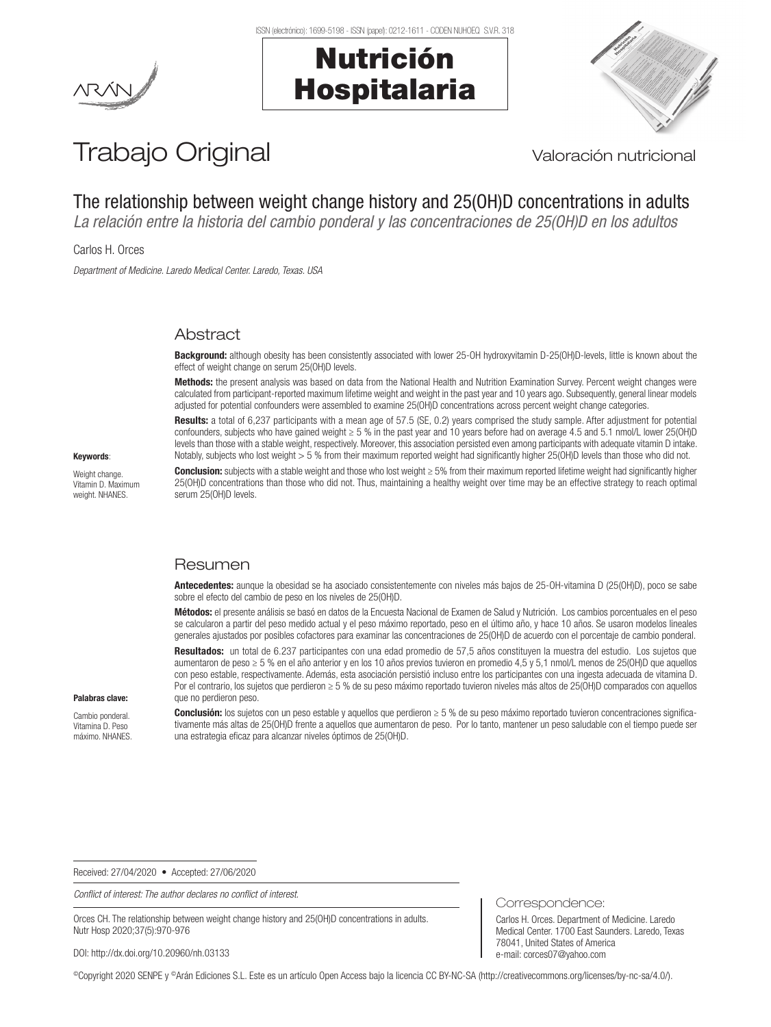# Nutrición Hospitalaria



# Trabajo Original Valoración nutricional

# The relationship between weight change history and 25(OH)D concentrations in adults

*La relación entre la historia del cambio ponderal y las concentraciones de 25(OH)D en los adultos*

Carlos H. Orces

*Department of Medicine. Laredo Medical Center. Laredo, Texas. USA*

# Abstract

Background: although obesity has been consistently associated with lower 25-OH hydroxyvitamin D-25(OH)D-levels, little is known about the effect of weight change on serum 25(OH)D levels.

Methods: the present analysis was based on data from the National Health and Nutrition Examination Survey. Percent weight changes were calculated from participant-reported maximum lifetime weight and weight in the past year and 10 years ago. Subsequently, general linear models adjusted for potential confounders were assembled to examine 25(OH)D concentrations across percent weight change categories.

Results: a total of 6,237 participants with a mean age of 57.5 (SE, 0.2) years comprised the study sample. After adjustment for potential confounders, subjects who have gained weight ≥ 5 % in the past year and 10 years before had on average 4.5 and 5.1 nmol/L lower 25(OH)D levels than those with a stable weight, respectively. Moreover, this association persisted even among participants with adequate vitamin D intake. Notably, subjects who lost weight > 5 % from their maximum reported weight had significantly higher 25(OH)D levels than those who did not.

Weight change. Vitamin D. Maximum weight. NHANES

Keywords:

Conclusion: subjects with a stable weight and those who lost weight ≥ 5% from their maximum reported lifetime weight had significantly higher 25(OH)D concentrations than those who did not. Thus, maintaining a healthy weight over time may be an effective strategy to reach optimal serum 25(OH)D levels.

## Resumen

Antecedentes: aunque la obesidad se ha asociado consistentemente con niveles más bajos de 25-OH-vitamina D (25(OH)D), poco se sabe sobre el efecto del cambio de peso en los niveles de 25(OH)D.

Métodos: el presente análisis se basó en datos de la Encuesta Nacional de Examen de Salud y Nutrición. Los cambios porcentuales en el peso se calcularon a partir del peso medido actual y el peso máximo reportado, peso en el último año, y hace 10 años. Se usaron modelos lineales generales ajustados por posibles cofactores para examinar las concentraciones de 25(OH)D de acuerdo con el porcentaje de cambio ponderal.

Resultados: un total de 6.237 participantes con una edad promedio de 57.5 años constituyen la muestra del estudio. Los sujetos que aumentaron de peso ≥ 5 % en el año anterior y en los 10 años previos tuvieron en promedio 4,5 y 5,1 nmol/L menos de 25(OH)D que aquellos con peso estable, respectivamente. Además, esta asociación persistió incluso entre los participantes con una ingesta adecuada de vitamina D. Por el contrario, los sujetos que perdieron ≥ 5 % de su peso máximo reportado tuvieron niveles más altos de 25(OH)D comparados con aquellos que no perdieron peso.

#### Palabras clave:

Cambio ponderal. Vitamina D. Peso máximo. NHANES.

Conclusión: los sujetos con un peso estable y aquellos que perdieron ≥ 5 % de su peso máximo reportado tuvieron concentraciones significativamente más altas de 25(OH)D frente a aquellos que aumentaron de peso. Por lo tanto, mantener un peso saludable con el tiempo puede ser una estrategia eficaz para alcanzar niveles óptimos de 25(OH)D.

Received: 27/04/2020 • Accepted: 27/06/2020

*Conflict of interest: The author declares no conflict of interest.*

Orces CH. The relationship between weight change history and 25(OH)D concentrations in adults. Nutr Hosp 2020;37(5):970-976

DOI: http://dx.doi.org/10.20960/nh.03133

©Copyright 2020 SENPE y ©Arán Ediciones S.L. Este es un artículo Open Access bajo la licencia CC BY-NC-SA (http://creativecommons.org/licenses/by-nc-sa/4.0/).

Correspondence: Carlos H. Orces. Department of Medicine. Laredo Medical Center. 1700 East Saunders. Laredo, Texas

78041, United States of America e-mail: corces07@yahoo.com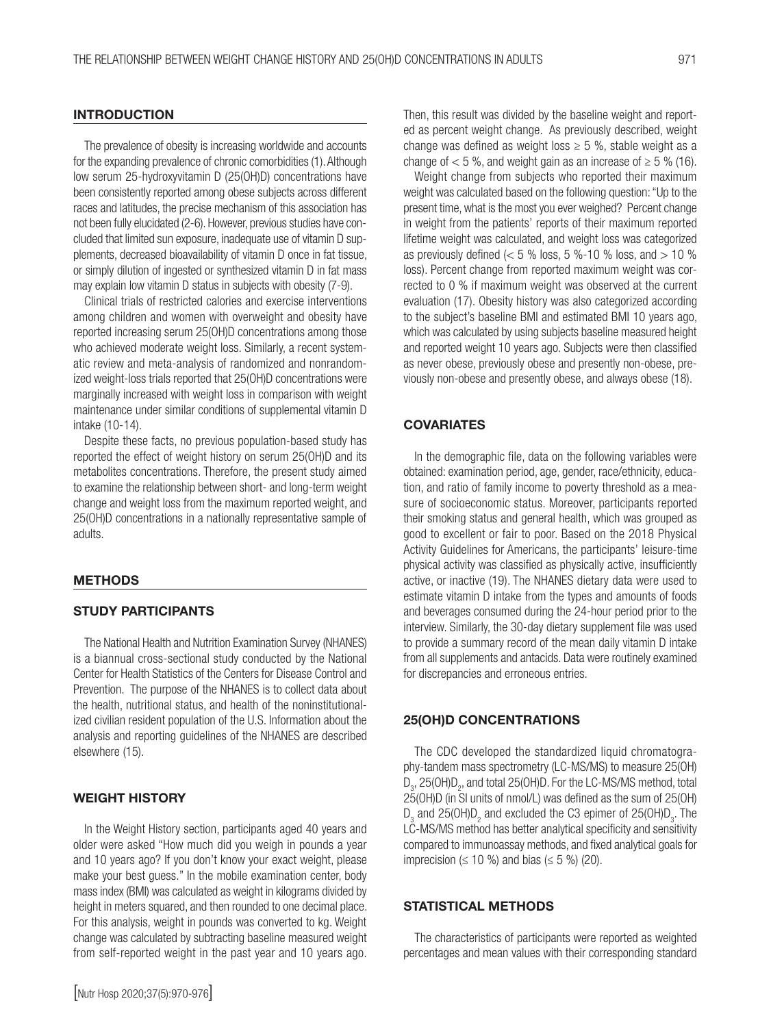### **INTRODUCTION**

The prevalence of obesity is increasing worldwide and accounts for the expanding prevalence of chronic comorbidities (1). Although low serum 25-hydroxyvitamin D (25(OH)D) concentrations have been consistently reported among obese subjects across different races and latitudes, the precise mechanism of this association has not been fully elucidated (2-6). However, previous studies have concluded that limited sun exposure, inadequate use of vitamin D supplements, decreased bioavailability of vitamin D once in fat tissue, or simply dilution of ingested or synthesized vitamin D in fat mass may explain low vitamin D status in subjects with obesity (7-9).

Clinical trials of restricted calories and exercise interventions among children and women with overweight and obesity have reported increasing serum 25(OH)D concentrations among those who achieved moderate weight loss. Similarly, a recent systematic review and meta-analysis of randomized and nonrandomized weight-loss trials reported that 25(OH)D concentrations were marginally increased with weight loss in comparison with weight maintenance under similar conditions of supplemental vitamin D intake (10-14).

Despite these facts, no previous population-based study has reported the effect of weight history on serum 25(OH)D and its metabolites concentrations. Therefore, the present study aimed to examine the relationship between short- and long-term weight change and weight loss from the maximum reported weight, and 25(OH)D concentrations in a nationally representative sample of adults.

#### **METHODS**

#### STUDY PARTICIPANTS

The National Health and Nutrition Examination Survey (NHANES) is a biannual cross-sectional study conducted by the National Center for Health Statistics of the Centers for Disease Control and Prevention. The purpose of the NHANES is to collect data about the health, nutritional status, and health of the noninstitutionalized civilian resident population of the U.S. Information about the analysis and reporting guidelines of the NHANES are described elsewhere (15).

#### WEIGHT HISTORY

In the Weight History section, participants aged 40 years and older were asked "How much did you weigh in pounds a year and 10 years ago? If you don't know your exact weight, please make your best guess." In the mobile examination center, body mass index (BMI) was calculated as weight in kilograms divided by height in meters squared, and then rounded to one decimal place. For this analysis, weight in pounds was converted to kg. Weight change was calculated by subtracting baseline measured weight from self-reported weight in the past year and 10 years ago.

Then, this result was divided by the baseline weight and reported as percent weight change. As previously described, weight change was defined as weight loss  $\geq$  5 %, stable weight as a change of  $< 5$ %, and weight gain as an increase of  $\geq 5$ % (16).

Weight change from subjects who reported their maximum weight was calculated based on the following question: "Up to the present time, what is the most you ever weighed? Percent change in weight from the patients' reports of their maximum reported lifetime weight was calculated, and weight loss was categorized as previously defined  $\langle$  < 5 % loss, 5 %-10 % loss, and  $>$  10 % loss). Percent change from reported maximum weight was corrected to 0 % if maximum weight was observed at the current evaluation (17). Obesity history was also categorized according to the subject's baseline BMI and estimated BMI 10 years ago, which was calculated by using subjects baseline measured height and reported weight 10 years ago. Subjects were then classified as never obese, previously obese and presently non-obese, previously non-obese and presently obese, and always obese (18).

### **COVARIATES**

In the demographic file, data on the following variables were obtained: examination period, age, gender, race/ethnicity, education, and ratio of family income to poverty threshold as a measure of socioeconomic status. Moreover, participants reported their smoking status and general health, which was grouped as good to excellent or fair to poor. Based on the 2018 Physical Activity Guidelines for Americans, the participants' leisure-time physical activity was classified as physically active, insufficiently active, or inactive (19). The NHANES dietary data were used to estimate vitamin D intake from the types and amounts of foods and beverages consumed during the 24-hour period prior to the interview. Similarly, the 30-day dietary supplement file was used to provide a summary record of the mean daily vitamin D intake from all supplements and antacids. Data were routinely examined for discrepancies and erroneous entries.

### 25(OH)D CONCENTRATIONS

The CDC developed the standardized liquid chromatography-tandem mass spectrometry (LC-MS/MS) to measure 25(OH)  $D_3$ , 25(OH) $D_2$ , and total 25(OH)D. For the LC-MS/MS method, total 25(OH)D (in SI units of nmol/L) was defined as the sum of 25(OH)  $D_3$  and 25(OH) $D_2$  and excluded the C3 epimer of 25(OH) $D_3$ . The LC-MS/MS method has better analytical specificity and sensitivity compared to immunoassay methods, and fixed analytical goals for imprecision ( $\leq 10$  %) and bias ( $\leq 5$  %) (20).

#### STATISTICAL METHODS

The characteristics of participants were reported as weighted percentages and mean values with their corresponding standard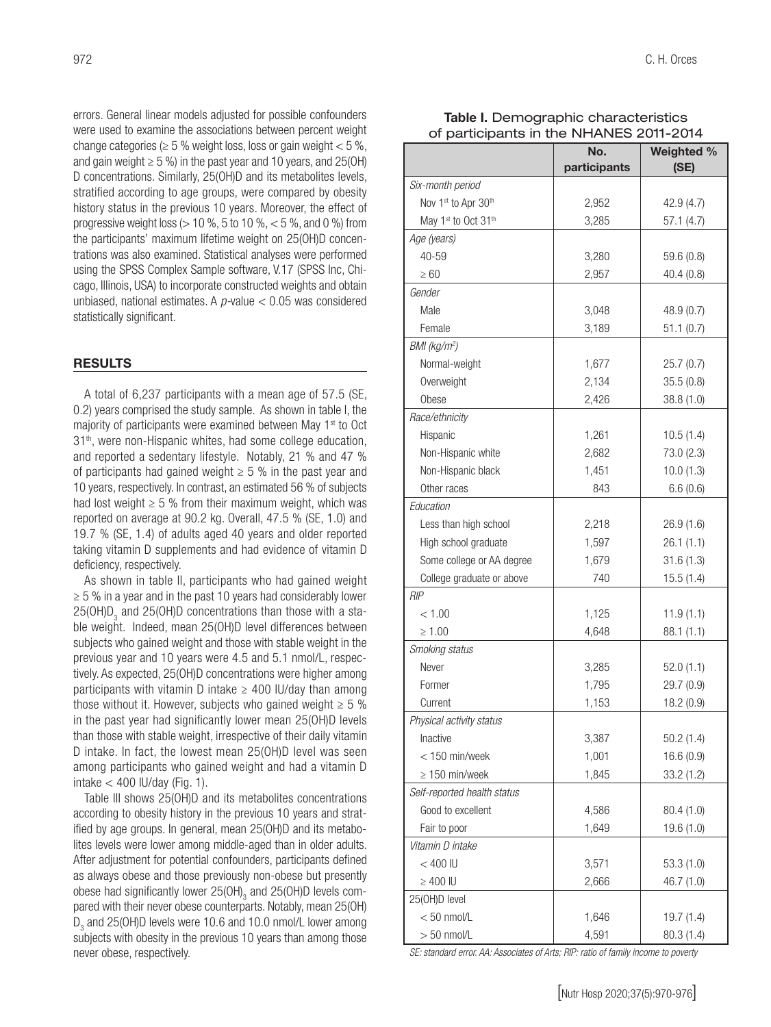errors. General linear models adjusted for possible confounders were used to examine the associations between percent weight change categories ( $\geq$  5 % weight loss, loss or gain weight < 5 %, and gain weight  $\geq$  5 %) in the past year and 10 years, and 25(OH) D concentrations. Similarly, 25(OH)D and its metabolites levels, stratified according to age groups, were compared by obesity history status in the previous 10 years. Moreover, the effect of progressive weight loss ( $> 10$  %, 5 to 10 %,  $< 5$  %, and 0 %) from the participants' maximum lifetime weight on 25(OH)D concentrations was also examined. Statistical analyses were performed using the SPSS Complex Sample software, V.17 (SPSS Inc, Chicago, Illinois, USA) to incorporate constructed weights and obtain unbiased, national estimates. A *p-*value < 0.05 was considered statistically significant.

#### **RESULTS**

A total of 6,237 participants with a mean age of 57.5 (SE, 0.2) years comprised the study sample. As shown in table I, the majority of participants were examined between May 1<sup>st</sup> to Oct 31th, were non-Hispanic whites, had some college education, and reported a sedentary lifestyle. Notably, 21 % and 47 % of participants had gained weight  $\geq$  5 % in the past year and 10 years, respectively. In contrast, an estimated 56 % of subjects had lost weight  $\geq$  5 % from their maximum weight, which was reported on average at 90.2 kg. Overall, 47.5 % (SE, 1.0) and 19.7 % (SE, 1.4) of adults aged 40 years and older reported taking vitamin D supplements and had evidence of vitamin D deficiency, respectively.

As shown in table II, participants who had gained weight  $\geq$  5 % in a year and in the past 10 years had considerably lower 25(OH)D<sub>3</sub> and 25(OH)D concentrations than those with a stable weight. Indeed, mean 25(OH)D level differences between subjects who gained weight and those with stable weight in the previous year and 10 years were 4.5 and 5.1 nmol/L, respectively. As expected, 25(OH)D concentrations were higher among participants with vitamin D intake  $\geq$  400 IU/day than among those without it. However, subjects who gained weight  $\geq 5$  % in the past year had significantly lower mean 25(OH)D levels than those with stable weight, irrespective of their daily vitamin D intake. In fact, the lowest mean 25(OH)D level was seen among participants who gained weight and had a vitamin D  $intake < 400$  IU/day (Fig. 1).

Table III shows 25(OH)D and its metabolites concentrations according to obesity history in the previous 10 years and stratified by age groups. In general, mean 25(OH)D and its metabolites levels were lower among middle-aged than in older adults. After adjustment for potential confounders, participants defined as always obese and those previously non-obese but presently obese had significantly lower 25(OH) $_{3}$  and 25(OH)D levels compared with their never obese counterparts. Notably, mean 25(OH)  $D_3$  and 25(OH)D levels were 10.6 and 10.0 nmol/L lower among subjects with obesity in the previous 10 years than among those never obese, respectively.

| Table I. Demographic characteristics    |
|-----------------------------------------|
| of participants in the NHANES 2011-2014 |

| יי אי זיי טאי ייטואיט ייט   |                     |                    |
|-----------------------------|---------------------|--------------------|
|                             | No.<br>participants | Weighted %<br>(SE) |
| Six-month period            |                     |                    |
| Nov 1st to Apr 30th         | 2,952               | 42.9 (4.7)         |
| May 1st to Oct 31th         | 3,285               | 57.1(4.7)          |
| Age (years)                 |                     |                    |
| 40-59                       | 3,280               | 59.6 (0.8)         |
| $\geq 60$                   | 2,957               | 40.4(0.8)          |
| Gender                      |                     |                    |
| Male                        | 3,048               | 48.9 (0.7)         |
| Female                      | 3,189               | 51.1(0.7)          |
| $BMl$ (kg/m <sup>2</sup> )  |                     |                    |
| Normal-weight               | 1,677               | 25.7(0.7)          |
| Overweight                  | 2,134               | 35.5(0.8)          |
| Obese                       | 2,426               | 38.8 (1.0)         |
| Race/ethnicity              |                     |                    |
| Hispanic                    | 1,261               | 10.5(1.4)          |
| Non-Hispanic white          | 2,682               | 73.0 (2.3)         |
| Non-Hispanic black          | 1,451               | 10.0(1.3)          |
| Other races                 | 843                 | 6.6(0.6)           |
| Education                   |                     |                    |
| Less than high school       | 2,218               | 26.9(1.6)          |
| High school graduate        | 1,597               | 26.1(1.1)          |
| Some college or AA degree   | 1,679               | 31.6(1.3)          |
| College graduate or above   | 740                 | 15.5(1.4)          |
| RIP                         |                     |                    |
| < 1.00                      | 1,125               | 11.9(1.1)          |
| $\geq 1.00$                 | 4,648               | 88.1(1.1)          |
| Smoking status              |                     |                    |
| Never                       | 3,285               | 52.0(1.1)          |
| Former                      | 1,795               | 29.7 (0.9)         |
| Current                     | 1,153               | 18.2 (0.9)         |
| Physical activity status    |                     |                    |
| Inactive                    | 3,387               | 50.2(1.4)          |
| < 150 min/week              | 1,001               | 16.6(0.9)          |
| $\geq 150$ min/week         | 1,845               | 33.2(1.2)          |
| Self-reported health status |                     |                    |
| Good to excellent           | 4,586               | 80.4(1.0)          |
| Fair to poor                | 1,649               | 19.6 (1.0)         |
| Vitamin D intake            |                     |                    |
| $< 400$ IU                  | 3,571               | 53.3(1.0)          |
| $\geq 400$ IU               | 2,666               | 46.7 (1.0)         |
| 25(OH)D level               |                     |                    |
| $< 50$ nmol/L               | 1,646               | 19.7 (1.4)         |
| $> 50$ nmol/L               | 4,591               | 80.3 (1.4)         |

*SE: standard error. AA: Associates of Arts; RIP: ratio of family income to poverty*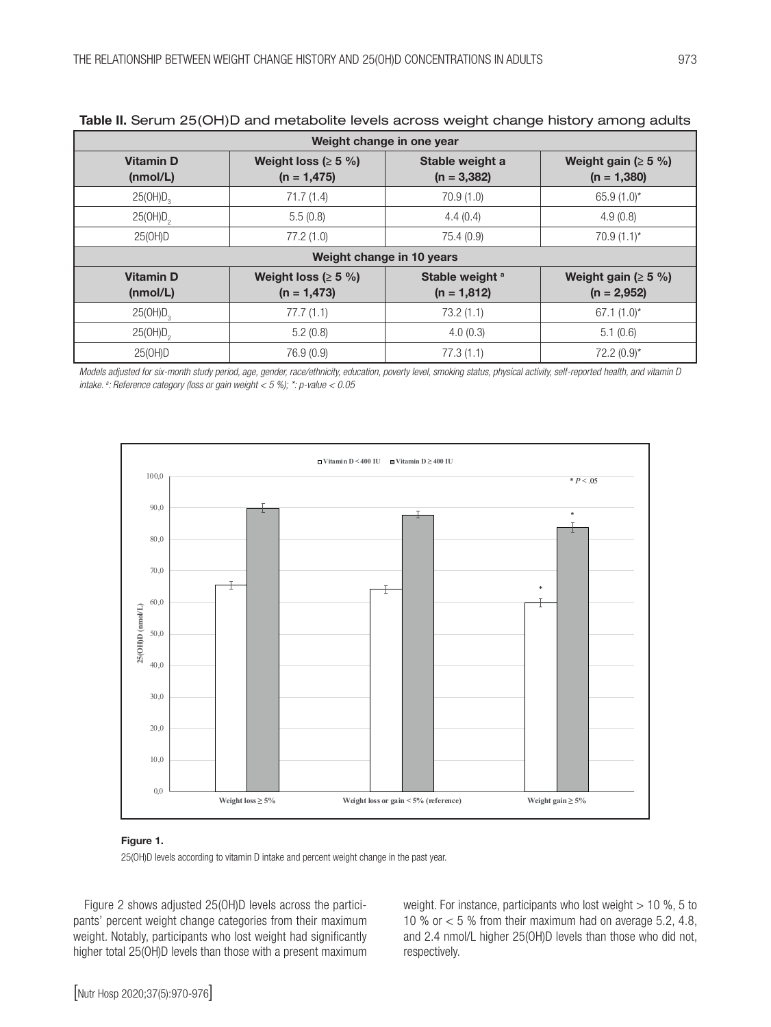| Weight change in one year    |                                            |                                             |                                            |  |  |  |
|------------------------------|--------------------------------------------|---------------------------------------------|--------------------------------------------|--|--|--|
| <b>Vitamin D</b><br>(mmol/L) | Weight loss ( $\geq$ 5 %)<br>$(n = 1,475)$ | Stable weight a<br>$(n = 3,382)$            | Weight gain ( $\geq$ 5 %)<br>$(n = 1,380)$ |  |  |  |
| $25(OH)D_3$                  | 71.7(1.4)                                  | 70.9(1.0)                                   | 65.9 $(1.0)^*$                             |  |  |  |
| 25(OH)D <sub>2</sub>         | 5.5(0.8)                                   | 4.4(0.4)                                    | 4.9(0.8)                                   |  |  |  |
| 25(0H)D                      | 77.2(1.0)                                  | 75.4 (0.9)                                  | $70.9(1.1)^*$                              |  |  |  |
| Weight change in 10 years    |                                            |                                             |                                            |  |  |  |
| <b>Vitamin D</b><br>(mmol/L) | Weight loss ( $\geq$ 5 %)<br>$(n = 1,473)$ | Stable weight <sup>a</sup><br>$(n = 1,812)$ | Weight gain ( $\geq$ 5 %)<br>$(n = 2,952)$ |  |  |  |
| $25(OH)D_3$                  | 77.7(1.1)                                  | 73.2(1.1)                                   | $67.1(1.0)^*$                              |  |  |  |
| 25(OH)D <sub>2</sub>         | 5.2(0.8)                                   | 4.0(0.3)                                    | 5.1(0.6)                                   |  |  |  |
| 25(0H)D                      | 76.9 (0.9)                                 | 77.3(1.1)                                   | $72.2(0.9)^*$                              |  |  |  |

# Table II. Serum 25(OH)D and metabolite levels across weight change history among adults

*Models adjusted for six-month study period, age, gender, race/ethnicity, education, poverty level, smoking status, physical activity, self-reported health, and vitamin D intake. a : Reference category (loss or gain weight < 5 %); \*: p-value < 0.05* 



#### Figure 1.

25(OH)D levels according to vitamin D intake and percent weight change in the past year.

Figure 2 shows adjusted 25(OH)D levels across the participants' percent weight change categories from their maximum weight. Notably, participants who lost weight had significantly higher total 25(OH)D levels than those with a present maximum

weight. For instance, participants who lost weight  $> 10$  %, 5 to 10 % or  $<$  5 % from their maximum had on average 5.2, 4.8, and 2.4 nmol/L higher 25(OH)D levels than those who did not, respectively.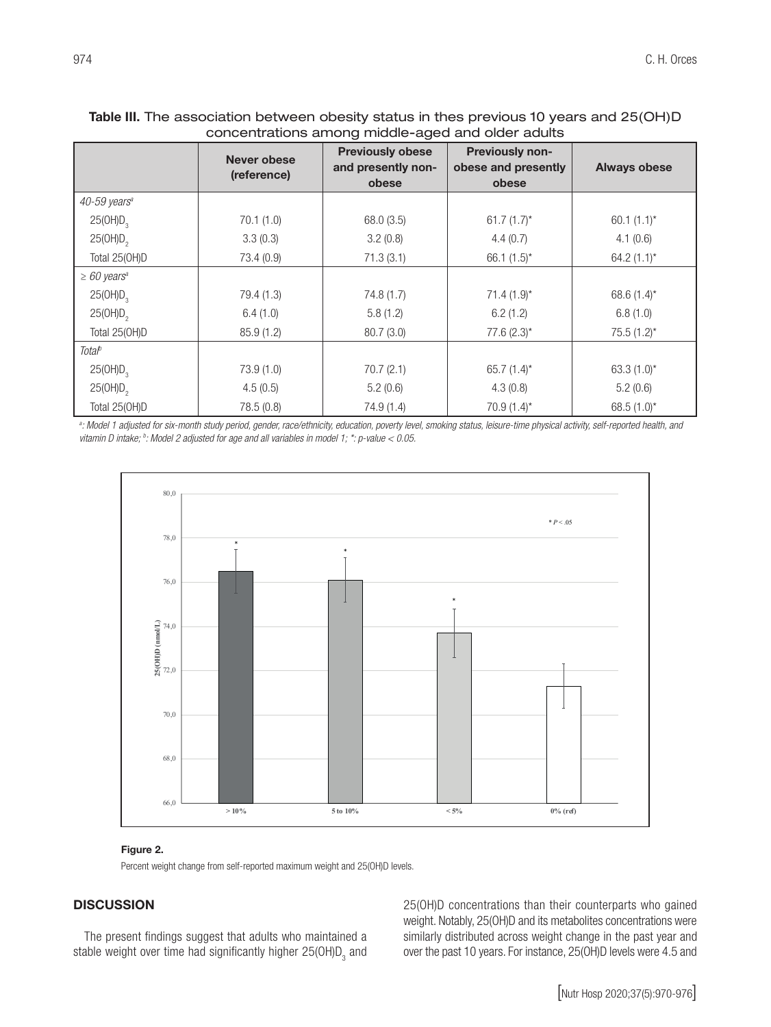# Table III. The association between obesity status in thes previous 10 years and 25(OH)D concentrations among middle-aged and older adults

|                              | Never obese<br>(reference) | <b>Previously obese</b><br>and presently non-<br>obese | <b>Previously non-</b><br>obese and presently<br>obese | <b>Always obese</b> |
|------------------------------|----------------------------|--------------------------------------------------------|--------------------------------------------------------|---------------------|
| 40-59 years <sup>a</sup>     |                            |                                                        |                                                        |                     |
| 25(OH)D <sub>3</sub>         | 70.1(1.0)                  | 68.0 (3.5)                                             | 61.7 $(1.7)^*$                                         | $60.1(1.1)^{*}$     |
| 25(OH)D <sub>2</sub>         | 3.3(0.3)                   | 3.2(0.8)                                               | 4.4(0.7)                                               | 4.1(0.6)            |
| Total 25(OH)D                | 73.4 (0.9)                 | 71.3(3.1)                                              | 66.1 $(1.5)^*$                                         | 64.2 $(1.1)^*$      |
| $\geq 60$ years <sup>a</sup> |                            |                                                        |                                                        |                     |
| 25(OH)D <sub>3</sub>         | 79.4 (1.3)                 | 74.8 (1.7)                                             | $71.4(1.9)$ *                                          | 68.6 $(1.4)^*$      |
| 25(OH)D <sub>2</sub>         | 6.4(1.0)                   | 5.8(1.2)                                               | 6.2(1.2)                                               | 6.8(1.0)            |
| Total 25(OH)D                | 85.9(1.2)                  | 80.7(3.0)                                              | $77.6(2.3)$ *                                          | $75.5(1.2)^*$       |
| <b>Total</b> <sup>b</sup>    |                            |                                                        |                                                        |                     |
| 25(OH)D <sub>3</sub>         | 73.9(1.0)                  | 70.7(2.1)                                              | 65.7 $(1.4)^*$                                         | $63.3(1.0)^{*}$     |
| 25(OH)D <sub>2</sub>         | 4.5(0.5)                   | 5.2(0.6)                                               | 4.3(0.8)                                               | 5.2(0.6)            |
| Total 25(OH)D                | 78.5 (0.8)                 | 74.9 (1.4)                                             | $70.9(1.4)^*$                                          | 68.5 $(1.0)^*$      |

*a : Model 1 adjusted for six-month study period, gender, race/ethnicity, education, poverty level, smoking status, leisure-time physical activity, self-reported health, and vitamin D intake; b : Model 2 adjusted for age and all variables in model 1; \*: p-value < 0.05.*



#### Figure 2.

Percent weight change from self-reported maximum weight and 25(OH)D levels.

# **DISCUSSION**

The present findings suggest that adults who maintained a stable weight over time had significantly higher 25(OH)D<sub>3</sub> and 25(OH)D concentrations than their counterparts who gained weight. Notably, 25(OH)D and its metabolites concentrations were similarly distributed across weight change in the past year and over the past 10 years. For instance, 25(OH)D levels were 4.5 and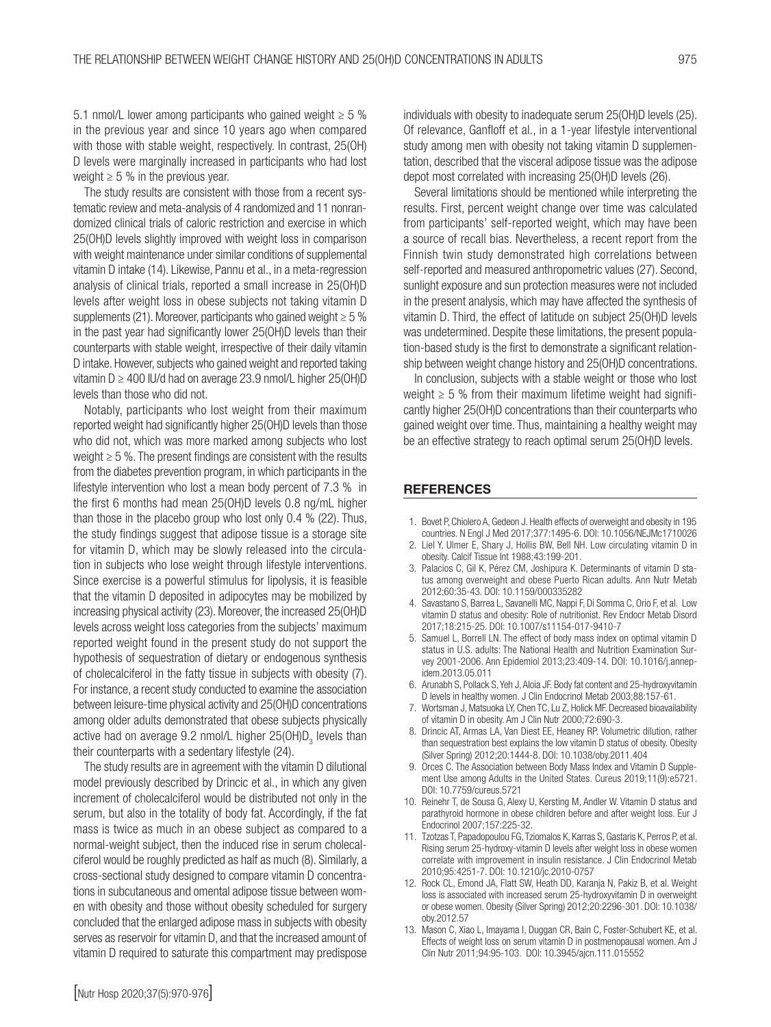5.1 nmol/L lower among participants who gained weight  $\geq$  5 % in the previous year and since 10 years ago when compared with those with stable weight, respectively. In contrast, 25(OH) D levels were marginally increased in participants who had lost weight  $\geq 5$  % in the previous year.

The study results are consistent with those from a recent systematic review and meta-analysis of 4 randomized and 11 nonrandomized clinical trials of caloric restriction and exercise in which 25(OH)D levels slightly improved with weight loss in comparison with weight maintenance under similar conditions of supplemental vitamin D intake (14). Likewise, Pannu et al., in a meta-regression analysis of clinical trials, reported a small increase in 25(OH)D levels after weight loss in obese subjects not taking vitamin D supplements (21). Moreover, participants who gained weight  $\geq 5$ % in the past year had significantly lower 25(OH)D levels than their counterparts with stable weight, irrespective of their daily vitamin D intake. However, subjects who gained weight and reported taking vitamin D ≥ 400 IU/d had on average 23.9 nmol/L higher 25(OH)D levels than those who did not.

Notably, participants who lost weight from their maximum reported weight had significantly higher 25(OH)D levels than those who did not, which was more marked among subjects who lost weight ≥ 5 %. The present findings are consistent with the results from the diabetes prevention program, in which participants in the lifestyle intervention who lost a mean body percent of 7.3 % in the first 6 months had mean 25(OH)D levels 0.8 ng/mL higher than those in the placebo group who lost only 0.4 % (22). Thus, the study findings suggest that adipose tissue is a storage site for vitamin D, which may be slowly released into the circulation in subjects who lose weight through lifestyle interventions. Since exercise is a powerful stimulus for lipolysis, it is feasible that the vitamin D deposited in adipocytes may be mobilized by increasing physical activity (23). Moreover, the increased 25(OH)D levels across weight loss categories from the subjects' maximum reported weight found in the present study do not support the hypothesis of sequestration of dietary or endogenous synthesis of cholecalciferol in the fatty tissue in subjects with obesity (7). For instance, a recent study conducted to examine the association between leisure-time physical activity and 25(OH)D concentrations among older adults demonstrated that obese subjects physically active had on average 9.2 nmol/L higher 25(OH)D<sub>3</sub> levels than their counterparts with a sedentary lifestyle (24).

The study results are in agreement with the vitamin D dilutional model previously described by Drincic et al., in which any given increment of cholecalciferol would be distributed not only in the serum, but also in the totality of body fat. Accordingly, if the fat mass is twice as much in an obese subject as compared to a normal-weight subject, then the induced rise in serum cholecalciferol would be roughly predicted as half as much (8). Similarly, a cross-sectional study designed to compare vitamin D concentrations in subcutaneous and omental adipose tissue between women with obesity and those without obesity scheduled for surgery concluded that the enlarged adipose mass in subjects with obesity serves as reservoir for vitamin D, and that the increased amount of vitamin D required to saturate this compartment may predispose

individuals with obesity to inadequate serum 25(OH)D levels (25). Of relevance, Ganfloff et al., in a 1-year lifestyle interventional study among men with obesity not taking vitamin D supplementation, described that the visceral adipose tissue was the adipose depot most correlated with increasing 25(OH)D levels (26).

Several limitations should be mentioned while interpreting the results. First, percent weight change over time was calculated from participants' self-reported weight, which may have been a source of recall bias. Nevertheless, a recent report from the Finnish twin study demonstrated high correlations between self-reported and measured anthropometric values (27). Second, sunlight exposure and sun protection measures were not included in the present analysis, which may have affected the synthesis of vitamin D. Third, the effect of latitude on subject 25(OH)D levels was undetermined. Despite these limitations, the present population-based study is the first to demonstrate a significant relationship between weight change history and 25(OH)D concentrations.

In conclusion, subjects with a stable weight or those who lost weight  $\geq$  5 % from their maximum lifetime weight had significantly higher 25(OH)D concentrations than their counterparts who gained weight over time. Thus, maintaining a healthy weight may be an effective strategy to reach optimal serum 25(OH)D levels.

#### **REFERENCES**

- 1. Bovet P, Chiolero A, Gedeon J. Health effects of overweight and obesity in 195 countries. N Engl J Med 2017;377:1495-6. DOI: 10.1056/NEJMc1710026
- 2. Liel Y, Ulmer E, Shary J, Hollis BW, Bell NH. Low circulating vitamin D in obesity. Calcif Tissue Int 1988;43:199-201.
- 3. Palacios C, Gil K, Pérez CM, Joshipura K. Determinants of vitamin D status among overweight and obese Puerto Rican adults. Ann Nutr Metab 2012;60:35-43. DOI: 10.1159/000335282
- 4. Savastano S, Barrea L, Savanelli MC, Nappi F, Di Somma C, Orio F, et al. Low vitamin D status and obesity: Role of nutritionist. Rev Endocr Metab Disord 2017;18:215-25. DOI: 10.1007/s11154-017-9410-7
- 5. Samuel L, Borrell LN. The effect of body mass index on optimal vitamin D status in U.S. adults: The National Health and Nutrition Examination Survey 2001-2006. Ann Epidemiol 2013;23:409-14. DOI: 10.1016/j.annepidem.2013.05.011
- 6. Arunabh S, Pollack S, Yeh J, Aloia JF. Body fat content and 25-hydroxyvitamin D levels in healthy women. J Clin Endocrinol Metab 2003;88:157-61.
- 7. Wortsman J, Matsuoka LY, Chen TC, Lu Z, Holick MF. Decreased bioavailability of vitamin D in obesity. Am J Clin Nutr 2000;72:690-3.
- 8. Drincic AT, Armas LA, Van Diest EE, Heaney RP. Volumetric dilution, rather than sequestration best explains the low vitamin D status of obesity. Obesity (Silver Spring) 2012;20:1444-8. DOI: 10.1038/oby.2011.404
- 9. Orces C. The Association between Body Mass Index and Vitamin D Supplement Use among Adults in the United States. Cureus 2019;11(9):e5721. DOI: 10.7759/cureus.5721
- 10. Reinehr T, de Sousa G, Alexy U, Kersting M, Andler W. Vitamin D status and parathyroid hormone in obese children before and after weight loss. Eur J Endocrinol 2007;157:225-32.
- 11. Tzotzas T, Papadopoulou FG, Tziomalos K, Karras S, Gastaris K, Perros P, et al. Rising serum 25-hydroxy-vitamin D levels after weight loss in obese women correlate with improvement in insulin resistance. J Clin Endocrinol Metab 2010;95:4251-7. DOI: 10.1210/jc.2010-0757
- 12. Rock CL, Emond JA, Flatt SW, Heath DD, Karanja N, Pakiz B, et al. Weight loss is associated with increased serum 25-hydroxyvitamin D in overweight or obese women. Obesity (Silver Spring) 2012;20:2296-301. DOI: 10.1038/ oby.2012.57
- 13. Mason C, Xiao L, Imayama I, Duggan CR, Bain C, Foster-Schubert KE, et al. Effects of weight loss on serum vitamin D in postmenopausal women. Am J Clin Nutr 2011;94:95-103. DOI: 10.3945/ajcn.111.015552